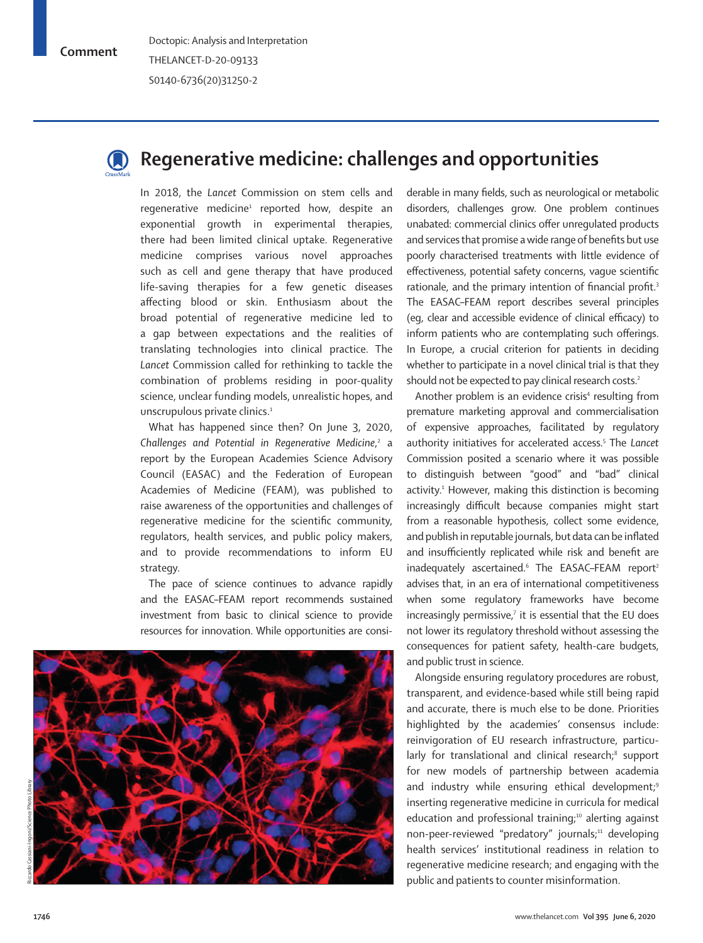## **Comment**



## **Regenerative medicine: challenges and opportunities**

In 2018, the *Lancet* Commission on stem cells and regenerative medicine<sup>1</sup> reported how, despite an exponential growth in experimental therapies, there had been limited clinical uptake. Regenerative medicine comprises various novel approaches such as cell and gene therapy that have produced life-saving therapies for a few genetic diseases affecting blood or skin. Enthusiasm about the broad potential of regenerative medicine led to a gap between expectations and the realities of translating technologies into clinical practice. The *Lancet* Commission called for rethinking to tackle the combination of problems residing in poor-quality science, unclear funding models, unrealistic hopes, and unscrupulous private clinics.<sup>1</sup>

What has happened since then? On June 3, 2020, Challenges and Potential in Regenerative Medicine,<sup>2</sup> a report by the European Academies Science Advisory Council (EASAC) and the Federation of European Academies of Medicine (FEAM), was published to raise awareness of the opportunities and challenges of regenerative medicine for the scientific community, regulators, health services, and public policy makers, and to provide recommendations to inform EU strategy.

The pace of science continues to advance rapidly and the EASAC–FEAM report recommends sustained investment from basic to clinical science to provide resources for innovation. While opportunities are consi-



derable in many fields, such as neurological or metabolic disorders, challenges grow. One problem continues unabated: commercial clinics offer unregulated products and services that promise a wide range of benefits but use poorly characterised treatments with little evidence of effectiveness, potential safety concerns, vague scientific rationale, and the primary intention of financial profit.<sup>3</sup> The EASAC–FEAM report describes several principles (eg, clear and accessible evidence of clinical efficacy) to inform patients who are contemplating such offerings. In Europe, a crucial criterion for patients in deciding whether to participate in a novel clinical trial is that they should not be expected to pay clinical research costs.<sup>2</sup>

Another problem is an evidence crisis<sup>4</sup> resulting from premature marketing approval and commercialisation of expensive approaches, facilitated by regulatory authority initiatives for accelerated access.5 The *Lancet*  Commission posited a scenario where it was possible to distinguish between "good" and "bad" clinical activity.<sup>1</sup> However, making this distinction is becoming increasingly difficult because companies might start from a reasonable hypothesis, collect some evidence, and publish in reputable journals, but data can be inflated and insufficiently replicated while risk and benefit are inadequately ascertained. $6$  The EASAC–FEAM report<sup>2</sup> advises that, in an era of international competitiveness when some regulatory frameworks have become increasingly permissive, $7$  it is essential that the EU does not lower its regulatory threshold without assessing the consequences for patient safety, health-care budgets, and public trust in science.

Alongside ensuring regulatory procedures are robust, transparent, and evidence-based while still being rapid and accurate, there is much else to be done. Priorities highlighted by the academies' consensus include: reinvigoration of EU research infrastructure, particularly for translational and clinical research;<sup>8</sup> support for new models of partnership between academia and industry while ensuring ethical development;<sup>9</sup> inserting regenerative medicine in curricula for medical education and professional training;<sup>10</sup> alerting against non-peer-reviewed "predatory" journals;<sup>11</sup> developing health services' institutional readiness in relation to regenerative medicine research; and engaging with the public and patients to counter misinformation.